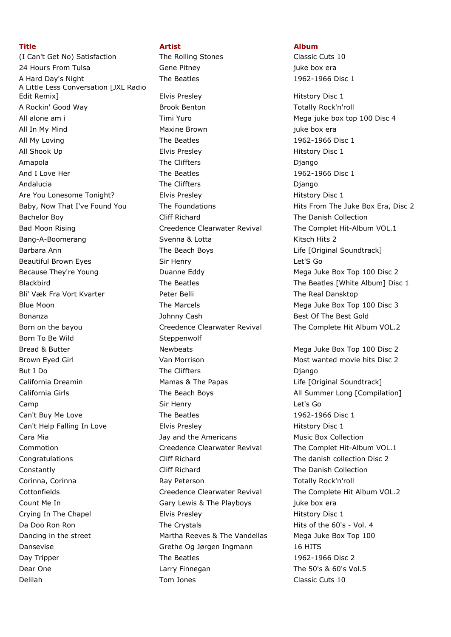| <u>Litie</u>                           |
|----------------------------------------|
| (I Can't Get No) Satisfaction          |
| 24 Hours From Tulsa                    |
| A Hard Day's Night                     |
| A Little Less Conversation [JXL Radio  |
| Edit Remix]                            |
| A Rockin' Good Way                     |
| All alone am i                         |
| All In My Mind                         |
| All My Loving                          |
| All Shook Up                           |
| Amapola                                |
| And I Love Her                         |
| Andalucia                              |
| Are You Lonesome Tonight?              |
| Baby, Now That I've Found You          |
| <b>Bachelor Boy</b>                    |
| <b>Bad Moon Rising</b>                 |
| Bang-A-Boomerang                       |
| Barbara Ann                            |
| Beautiful Brown Eyes                   |
| Because They're Young                  |
| <b>Blackbird</b>                       |
| Bli' Væk Fra Vort Kvarter              |
| Blue Moon                              |
| Bonanza                                |
| Born on the bayou                      |
| Born To Be Wild                        |
| Bread & Butter                         |
| Brown Eyed Girl                        |
| But I Do                               |
|                                        |
| California Dreamin<br>California Girls |
|                                        |
| Camp                                   |
| Can't Buy Me Love                      |
| Can't Help Falling In Love             |
| Cara Mia                               |
| Commotion                              |
| Congratulations                        |
| Constantly                             |
| Corinna, Corinna                       |
| Cottonfields                           |
| Count Me In                            |
| Crying In The Chapel                   |
| Da Doo Ron Ron                         |
| Dancing in the street                  |
| Dansevise                              |
| Day Tripper                            |
| Dear One                               |
| Delilah                                |
|                                        |

**Title Artist Album** The Rolling Stones Classic Cuts 10 Example Tulsa Gene Pitney iuke box era The Beatles 1962-1966 Disc 1 Elvis Presley **Elvis Presley Elvis Presley** Hitstory Disc 1 Brook Benton Totally Rock'n'roll Maxine Brown **Maxing Maxine Brown** juke box era The Beatles 1962-1966 Disc 1 **Elvis Presley Community Community Hitstory Disc 1** The Cliffters **Diango** The Beatles 1962-1966 Disc 1 The Cliffters **Diango** Elvis Presley **Are You Lones Elvis Presley** Hitstory Disc 1 Cliff Richard **The Danish Collection** Svenna & Lotta Kitsch Hits 2 The Beach Boys Life [Original Soundtrack] Sir Henry Let'S Go Peter Belli Verk Fra Vort Kvarter Peter Belli Verk Kvarter The Real Dansktop Johnny Cash Best Of The Best Gold Steppenwolf The Cliffters **Diango** Mamas & The Papas Life [Original Soundtrack] Sir Henry Let's Go The Beatles 1962-1966 Disc 1 Elvis Presley **Access Elvis Presley** Hitstory Disc 1 Jay and the Americans Music Box Collection Cliff Richard The danish collection Disc 2 Cliff Richard The Danish Collection Ray Peterson Totally Rock'n'roll Gary Lewis & The Playboys juke box era Elvis Presley **Access 20 Filter** Hitstory Disc 1 The Crystals **Example 20** Hits of the 60's - Vol. 4 Martha Reeves & The Vandellas Mega Juke Box Top 100 Grethe Og Jørgen Ingmann 16 HITS The Beatles 1962-1966 Disc 2 Larry Finnegan The 50's & 60's Vol.5 Tom Jones Classic Cuts 10

Timi Yuro **All alone am intervention and Mega** juke box top 100 Disc 4 The Foundations The Toundations Hits From The Juke Box Era, Disc 2 Creedence Clearwater Revival The Complet Hit-Album VOL.1 Duanne Eddy Mega Juke Box Top 100 Disc 2 The Beatles The Beatles [White Album] Disc 1 The Marcels **Mega Juke Box Top 100 Disc 3** Creedence Clearwater Revival The Complete Hit Album VOL.2 Newbeats Mega Juke Box Top 100 Disc 2 Van Morrison **Eyenn Eyenn Constructs** Most wanted movie hits Disc 2 The Beach Boys **All Summer Long [Compilation]** Creedence Clearwater Revival The Complet Hit-Album VOL.1 Creedence Clearwater Revival The Complete Hit Album VOL.2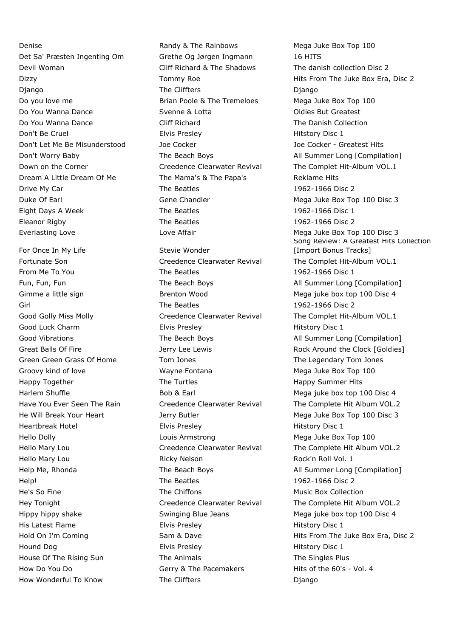How Wonderful To Know The Cliffters The Cliffters and Django

Denise **Randy & The Rainbows** Mega Juke Box Top 100 Det Sa' Præsten Ingenting Om Grethe Og Jørgen Ingmann 16 HITS Devil Woman Cliff Richard & The Shadows The danish collection Disc 2 Django **The Cliffters** Django Django Do you love me **Brian Poole & The Tremeloes** Mega Juke Box Top 100 Do You Wanna Dance **Symme & Lotta** Stenne & Lotta Clairs But Greatest Do You Wanna Dance Cliff Richard The Danish Collection Don't Be Cruel Elvis Presley Hitstory Disc 1 Don't Let Me Be Misunderstood Joe Cocker Joe Cocker - Greatest Hits Don't Worry Baby **The Beach Boys** The Beach Boys All Summer Long [Compilation] Down on the Corner Creedence Clearwater Revival The Complet Hit-Album VOL.1 Dream A Little Dream Of Me The Mama's & The Papa's Reklame Hits Drive My Car The Beatles 1962-1966 Disc 2 Duke Of Earl Gene Chandler Mega Juke Box Top 100 Disc 3 Eight Days A Week The Beatles 1962-1966 Disc 1 Eleanor Rigby **The Beatles** 1962-1966 Disc 2 Everlasting Love **Mega Juke Box Top 100 Disc 3** Love Affair Mega Juke Box Top 100 Disc 3 For Once In My Life Stevie Wonder Fortunate Son **Creedence Clearwater Revival** The Complet Hit-Album VOL.1 From Me To You **The Beatles** 1962-1966 Disc 1 Fun, Fun, Fun The Beach Boys The Beach Boys All Summer Long [Compilation] Gimme a little sign and Brenton Wood and Mega juke box top 100 Disc 4 Girl The Beatles 1962-1966 Disc 2 Good Golly Miss Molly **Creedence Clearwater Revival** The Complet Hit-Album VOL.1 Good Luck Charm **Elvis Presley Elvis Presley Elvis Presley Hitstory Disc 1** Good Vibrations **The Beach Boys** The Beach Boys All Summer Long [Compilation] Green Green Grass Of Home Tom Jones The Legendary Tom Jones Groovy kind of love The Mayne Fontana Mega Juke Box Top 100 Happy Together The Turtles Happy Summer Hits Happy Summer Hits Harlem Shuffle **Bob & Earl** Mega juke box top 100 Disc 4 Have You Ever Seen The Rain **Creedence Clearwater Revival** The Complete Hit Album VOL.2 He Will Break Your Heart **Mega Juke Box Top 100 Disc 3** and Mega Juke Box Top 100 Disc 3 Heartbreak Hotel **Elvis Presley Elvis Presley Hitstory Disc 1** Hello Dolly **Louis Armstrong** Mega Juke Box Top 100 Hello Mary Lou Creedence Clearwater Revival The Complete Hit Album VOL.2 Hello Mary Lou **Ricky Nelson** Ricky Nelson Rock'n Roll Vol. 1 Help Me, Rhonda **The Beach Boys** The Beach Boys All Summer Long [Compilation] Help! The Beatles 1962-1966 Disc 2 He's So Fine The Chiffons The Chiffons The Chiffons Music Box Collection Hey Tonight Creedence Clearwater Revival The Complete Hit Album VOL.2 Hippy hippy shake The Swinging Blue Jeans Mega juke box top 100 Disc 4 His Latest Flame **Elvis Presley Elvis Presley Elvis Presley Hitstory Disc 1** Hound Dog Elvis Presley Hitstory Disc 1 House Of The Rising Sun The Animals The Singles Plus How Do You Do Gerry & The Pacemakers Hits of the 60's - Vol. 4

Dizzy **Tommy Roe** Hits From The Juke Box Era, Disc 2 Song Review: A Greatest Hits Collection [Import Bonus Tracks] Great Balls Of Fire The State of Lerry Lee Lewis The State Rock Around the Clock [Goldies] Hold On I'm Coming The Sam & Dave Hits From The Juke Box Era, Disc 2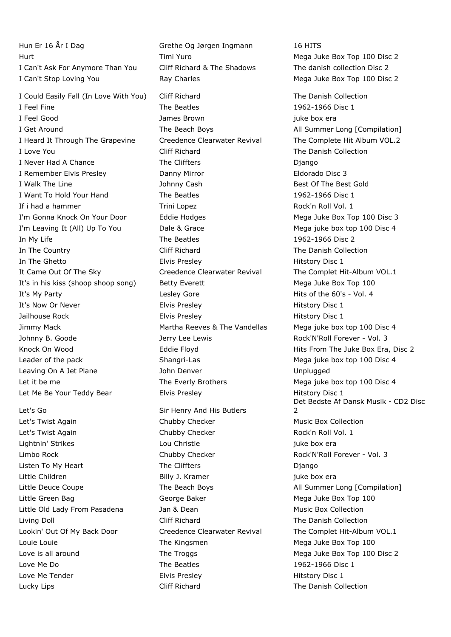Hun Er 16 År I Dag Grethe Og Jørgen Ingmann 16 HITS Hurt **Timi Yuro** Mega Juke Box Top 100 Disc 2 I Can't Ask For Anymore Than You Cliff Richard & The Shadows The danish collection Disc 2 I Can't Stop Loving You **Ray Charles** Mega Juke Box Top 100 Disc 2 I Could Easily Fall (In Love With You) Cliff Richard The Danish Collection I Feel Fine The Beatles 1962-1966 Disc 1 I Feel Good James Brown juke box era I Get Around The Beach Boys The Beach Boys All Summer Long [Compilation] I Heard It Through The Grapevine Creedence Clearwater Revival The Complete Hit Album VOL.2 I Love You Cliff Richard The Danish Collection I Never Had A Chance The Cliffters The Cliffters Diango I Remember Elvis Presley Danny Mirror Eldorado Disc 3 I Walk The Line The Line State Sold School Johnny Cash School Best Of The Best Gold I Want To Hold Your Hand The Beatles 1962-1966 Disc 1 If i had a hammer Trini Lopez Trini Lopez Rock'n Roll Vol. 1 I'm Gonna Knock On Your Door Feddie Hodges Mega Juke Box Top 100 Disc 3 I'm Leaving It (All) Up To You Dale & Grace Mega juke box top 100 Disc 4 In My Life The Beatles 1962-1966 Disc 2 In The Country Cliff Richard The Danish Collection In The Ghetto **Elvis Presley** Elvis Presley **Elvis Accord Elvis Presley** Hitstory Disc 1 It Came Out Of The Sky Creedence Clearwater Revival The Complet Hit-Album VOL.1 It's in his kiss (shoop shoop song) Betty Everett Mega Juke Box Top 100 It's My Party **Lesley Gore Lesley Gore** Hits of the 60's - Vol. 4 It's Now Or Never **Elvis Presley Elvis Presley Elvis Presley Hitstory Disc 1** Jailhouse Rock **Elvis Presley** Elvis Presley **Elvis Accord Hitstory Disc 1** Jimmy Mack Martha Reeves & The Vandellas Mega juke box top 100 Disc 4 Johnny B. Goode The Jerry Lee Lewis The Sock'N'Roll Forever - Vol. 3 Knock On Wood **Eddie Floyd** Eddie Floyd **Hits From The Juke Box Era, Disc 2** Leader of the pack **Shangri-Las** Shangri-Las Mega juke box top 100 Disc 4 Leaving On A Jet Plane The Subset of John Denver The Subset of The Unplugged Let it be me The Everly Brothers Mega juke box top 100 Disc 4 Let Me Be Your Teddy Bear **Elvis Presley Elitics Elvis Presley Hitstory Disc 1** 

Let's Twist Again **Chubby Checker** Music Box Collection Let's Twist Again **Chubby Checker Chubby Checker** Rock'n Roll Vol. 1 Lightnin' Strikes and Lou Christie in the strike box era Limbo Rock **Chubby Checker** Chubby Checker Rock'N'Roll Forever - Vol. 3 Listen To My Heart The Cliffters Django Little Children and Billy J. Kramer and the box era Little Green Bag and The George Baker Mega Juke Box Top 100 Little Old Lady From Pasadena Jan & Dean Music Box Collection Living Doll Cliff Richard The Danish Collection Lookin' Out Of My Back Door **Creedence Clearwater Revival** The Complet Hit-Album VOL.1 Louie Louie The Kingsmen Mega Juke Box Top 100 Love is all around The Troggs The Trouble 1 and the Mega Juke Box Top 100 Disc 2 Love Me Do **The Beatles** 1962-1966 Disc 1 Love Me Tender **Elvis Presley** Figure 2016 1 Elvis Presley Lucky Lips Cliff Richard The Danish Collection

Let's Go Sir Henry And His Butlers

Det Bedste Af Dansk Musik - CD2 Disc  $\overline{2}$ Little Deuce Coupe **The Beach Boys** The Beach Boys All Summer Long [Compilation]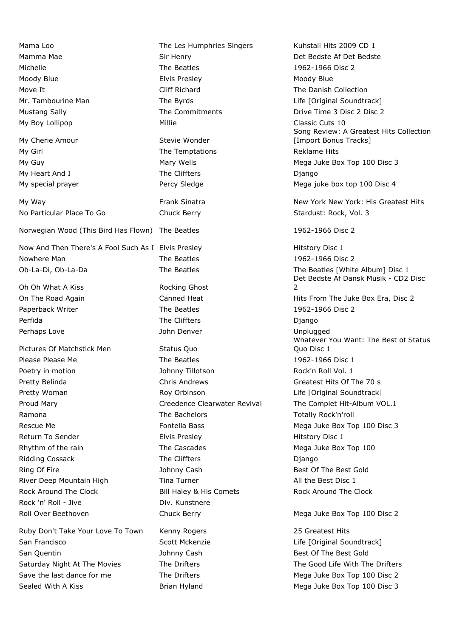Mama Loo The Les Humphries Singers Kuhstall Hits 2009 CD 1 Mamma Mae Sir Henry Southern Det Bedste Af Det Bedste Af Det Bedste Af Det Bedste Michelle The Beatles The Beatles 1962-1966 Disc 2 Moody Blue Elvis Presley Moody Blue Move It Cliff Richard The Danish Collection Mr. Tambourine Man The Byrds The Byrds Life [Original Soundtrack] Mustang Sally **The Commitments The Commitments Drive Time 3 Disc 2 Disc 2** Disc 2 My Boy Lollipop Millie Millie Classic Cuts 10 My Cherie Amour Stevie Wonder My Girl The Temptations Reklame Hits Reklame Hits My Guy Mary Wells Mary Wells Mega Juke Box Top 100 Disc 3 My Heart And I The Cliffters The Cliffters and Django My special prayer **Percy Sledge** Mega juke box top 100 Disc 4 My Way **New York New York Is Greatest Hits** New York: His Greatest Hits No Particular Place To Go 
Stardust: Rock, Vol. 3 Norwegian Wood (This Bird Has Flown) The Beatles 1962-1966 Disc 2 Now And Then There's A Fool Such As I Elvis Presley **Hitstory Disc 1** Hitstory Disc 1 Nowhere Man Nowhere Man Nowhere Man Nowhere Man Nowhere Man Nowhere Man Nowhelm The Beatles 2 Ob-La-Di, Ob-La-Da The Beatles The Beatles [White Album] Disc 1 Oh Oh What A Kiss Rocking Ghost On The Road Again **Canned Heat** Heat Hits From The Juke Box Era, Disc 2 Paperback Writer The Beatles 1962-1966 Disc 2 Perfida **The Cliffters The Cliffters Cliffters Django** Perhaps Love **Communist Communist Communist Communist Communist Communist Communist Communist Communist Communist Communist Communist Communist Communist Communist Communist Communist Communist Communist Communist Communis** Pictures Of Matchstick Men Status Quo Please Please Me **The Beatles** 1962-1966 Disc 1 Poetry in motion and the Submunity Johnny Tillotson and the Rock'n Roll Vol. 1 Pretty Belinda **Chris Andrews** Chris Andrews Greatest Hits Of The 70 s Pretty Woman **Roy Orbinson** Roy Orbinson Life [Original Soundtrack] Proud Mary **Creedence Clearwater Revival** The Complet Hit-Album VOL.1 Ramona **The Bachelors** The Bachelors Totally Rock'n'roll Rescue Me **Fontella Bass** Mega Juke Box Top 100 Disc 3 Return To Sender **Elvis Presley** Elvis Presley **Elvis Presley** Hitstory Disc 1 Rhythm of the rain The Cascades The Cascades Mega Juke Box Top 100 Ridding Cossack The Cliffters The Cliffters Cossack Django Ring Of Fire The Sect of The Best Gold Best Gold Aring Of The Best Gold River Deep Mountain High Tina Turner Tina Turner All the Best Disc 1 Rock Around The Clock **Bill Haley & His Comets** Rock Around The Clock Rock 'n' Roll - Jive **Div.** Kunstnere Roll Over Beethoven **Chuck Berry Chuck Berry** Mega Juke Box Top 100 Disc 2 Ruby Don't Take Your Love To Town Kenny Rogers 25 Greatest Hits San Francisco Scott Mckenzie Communication Contents (Content of Life [Original Soundtrack] San Quentin **San Quentin Best Of The Best Gold Best Gold Best Gold Best Gold** Saturday Night At The Movies The Drifters The Drifters The Good Life With The Drifters Save the last dance for me The Drifters The Drifters Mega Juke Box Top 100 Disc 2

Song Review: A Greatest Hits Collection [Import Bonus Tracks] Det Bedste Af Dansk Musik - CD2 Disc  $\overline{2}$ Whatever You Want: The Best of Status Quo Disc 1

Sealed With A Kiss **Brian Hyland** Mega Juke Box Top 100 Disc 3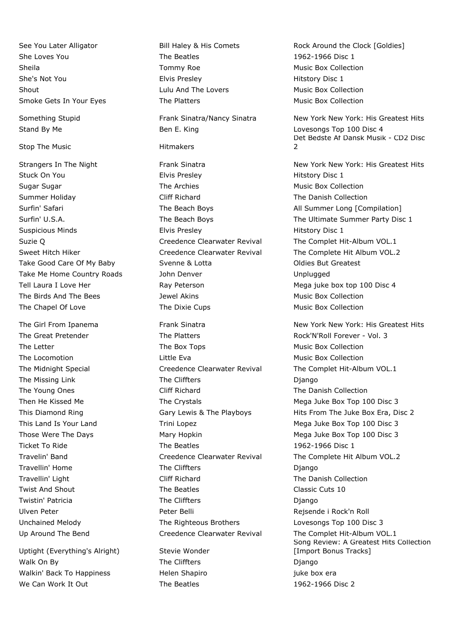She Loves You **She Loves You** The Beatles 1962-1966 Disc 1 Sheila **Tommy Roe** Tommy Roe Music Box Collection She's Not You Elvis Presley Hitstory Disc 1 Shout **Example 2** Shout Lulu And The Lovers **Music Box Collection** Smoke Gets In Your Eyes The Platters The Platters Music Box Collection

Stop The Music **Hitmakers** 

The Chapel Of Love The Dixie Cups The Dixie Cups Music Box Collection

Uptight (Everything's Alright) Stevie Wonder Walk On By The Cliffters The Cliffters Django Walkin' Back To Happiness Thelen Shapiro Theorem iuke box era We Can Work It Out The Beatles 1962-1966 Disc 2

Stand By Me **Ben E. King Community** Lovesongs Top 100 Disc 4

Stuck On You **Elvis Presley Elvis Presley Elvis Presley Hitstory Disc 1** Sugar Sugar The Archies Music Box Collection Cugar Sugar Archies Archies Music Box Collection Summer Holiday Cliff Richard The Danish Collection Suspicious Minds Elvis Presley Hitstory Disc 1 Suzie Q Creedence Clearwater Revival The Complet Hit-Album VOL.1 Take Good Care Of My Baby Svenne & Lotta Contact Coldies But Greatest Take Me Home Country Roads and John Denver The Muslem Country Roads and John Denver Muslem Country Roads and John Denver And Muslem Unplugged Tell Laura I Love Her **Ray Peterson** Ray Peterson Mega juke box top 100 Disc 4 The Birds And The Bees The Box Collection and The Birds And The Bees Jewel Akins Music Box Collection

The Great Pretender The Platters The Platters Rock'N'Roll Forever - Vol. 3 The Letter The Box Tops The Box Tops Music Box Collection The Locomotion The Locomotion Little Eva Collection Construction Collection Collection The Midnight Special **Creedence Clearwater Revival** The Complet Hit-Album VOL.1 The Missing Link The Cliffters The Cliffters Django The Young Ones Cliff Richard The Danish Collection Then He Kissed Me The Crystals The Crystals Mega Juke Box Top 100 Disc 3 This Land Is Your Land Trini Lopez Trini Lopez Mega Juke Box Top 100 Disc 3 Those Were The Days **Mary Hopkin** Mary Hopkin Mega Juke Box Top 100 Disc 3 Ticket To Ride The Seatles The Beatles 1962-1966 Disc 1 Travelin' Band Creedence Clearwater Revival The Complete Hit Album VOL.2 Travellin' Home The Cliffters The Cliffters Django Travellin' Light Cliff Richard The Danish Collection Twist And Shout The Beatles The Beatles Classic Cuts 10 Twistin' Patricia **The Cliffters** The Cliffters **Cliffters** Django Ulven Peter Peter Belli Rejsende i Rock'n Roll Unchained Melody The Righteous Brothers Lovesongs Top 100 Disc 3 Up Around The Bend **Creedence Clearwater Revival** The Complet Hit-Album VOL.1

See You Later Alligator **Bill Haley & His Comets** Rock Around the Clock [Goldies]

Something Stupid Frank Sinatra/Nancy Sinatra New York New York: His Greatest Hits Det Bedste Af Dansk Musik - CD2 Disc  $\overline{2}$ 

Strangers In The Night **Frank Sinatra** Frank Sinatra New York New York: His Greatest Hits Surfin' Safari **The Beach Boys** The Beach Boys All Summer Long [Compilation] Surfin' U.S.A. The Beach Boys The Ultimate Summer Party Disc 1 Sweet Hitch Hiker **Creedence Clearwater Revival** The Complete Hit Album VOL.2

The Girl From Ipanema The Girl Frank Sinatra New York New York: His Greatest Hits This Diamond Ring This Diamond Ring Gary Lewis & The Playboys Hits From The Juke Box Era, Disc 2 Song Review: A Greatest Hits Collection [Import Bonus Tracks]